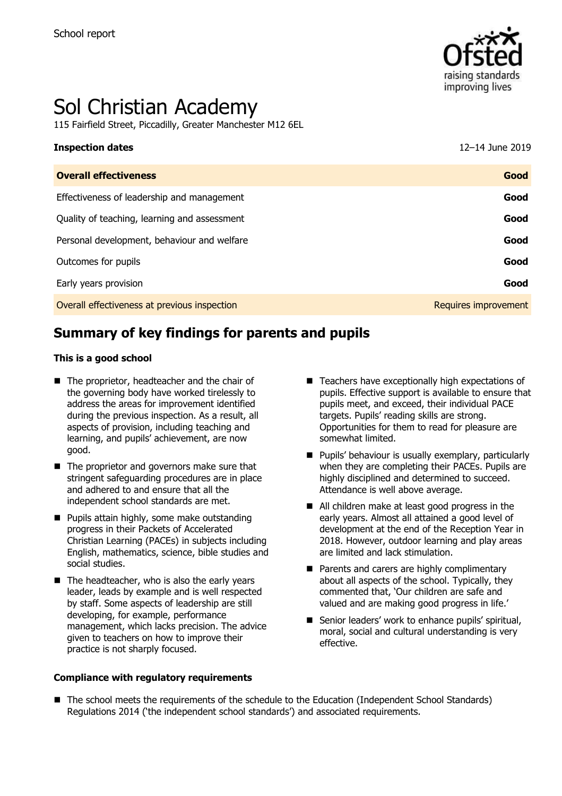

# Sol Christian Academy

115 Fairfield Street, Piccadilly, Greater Manchester M12 6EL

## **Inspection dates** 12–14 June 2019

| <b>Overall effectiveness</b>                 | Good                 |
|----------------------------------------------|----------------------|
| Effectiveness of leadership and management   | Good                 |
| Quality of teaching, learning and assessment | Good                 |
| Personal development, behaviour and welfare  | Good                 |
| Outcomes for pupils                          | Good                 |
| Early years provision                        | Good                 |
| Overall effectiveness at previous inspection | Requires improvement |

## **Summary of key findings for parents and pupils**

#### **This is a good school**

- The proprietor, headteacher and the chair of the governing body have worked tirelessly to address the areas for improvement identified during the previous inspection. As a result, all aspects of provision, including teaching and learning, and pupils' achievement, are now good.
- The proprietor and governors make sure that stringent safeguarding procedures are in place and adhered to and ensure that all the independent school standards are met.
- **Pupils attain highly, some make outstanding** progress in their Packets of Accelerated Christian Learning (PACEs) in subjects including English, mathematics, science, bible studies and social studies.
- $\blacksquare$  The headteacher, who is also the early years leader, leads by example and is well respected by staff. Some aspects of leadership are still developing, for example, performance management, which lacks precision. The advice given to teachers on how to improve their practice is not sharply focused.

#### **Compliance with regulatory requirements**

- Teachers have exceptionally high expectations of pupils. Effective support is available to ensure that pupils meet, and exceed, their individual PACE targets. Pupils' reading skills are strong. Opportunities for them to read for pleasure are somewhat limited.
- **Pupils' behaviour is usually exemplary, particularly** when they are completing their PACEs. Pupils are highly disciplined and determined to succeed. Attendance is well above average.
- All children make at least good progress in the early years. Almost all attained a good level of development at the end of the Reception Year in 2018. However, outdoor learning and play areas are limited and lack stimulation.
- **Parents and carers are highly complimentary** about all aspects of the school. Typically, they commented that, 'Our children are safe and valued and are making good progress in life.'
- Senior leaders' work to enhance pupils' spiritual, moral, social and cultural understanding is very effective.
- The school meets the requirements of the schedule to the Education (Independent School Standards) Regulations 2014 ('the independent school standards') and associated requirements.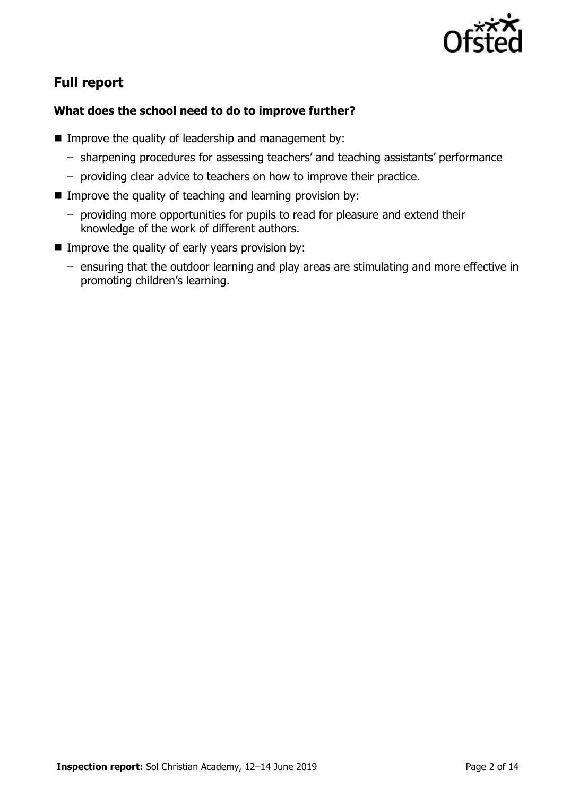

## **Full report**

### **What does the school need to do to improve further?**

- **IMPROVE the quality of leadership and management by:** 
	- sharpening procedures for assessing teachers' and teaching assistants' performance
	- providing clear advice to teachers on how to improve their practice.
- Improve the quality of teaching and learning provision by:
	- providing more opportunities for pupils to read for pleasure and extend their knowledge of the work of different authors.
- $\blacksquare$  Improve the quality of early years provision by:
	- ensuring that the outdoor learning and play areas are stimulating and more effective in promoting children's learning.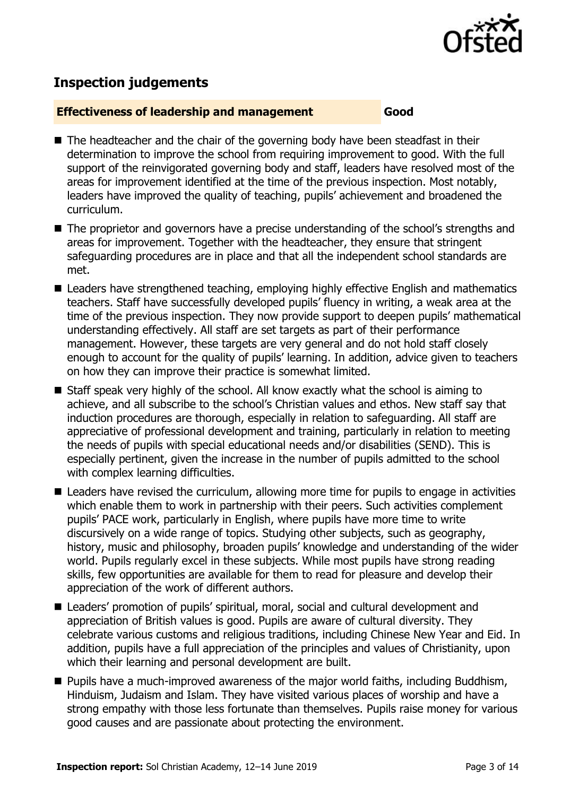

## **Inspection judgements**

#### **Effectiveness of leadership and management Good**

- $\blacksquare$  The headteacher and the chair of the governing body have been steadfast in their determination to improve the school from requiring improvement to good. With the full support of the reinvigorated governing body and staff, leaders have resolved most of the areas for improvement identified at the time of the previous inspection. Most notably, leaders have improved the quality of teaching, pupils' achievement and broadened the curriculum.
- The proprietor and governors have a precise understanding of the school's strengths and areas for improvement. Together with the headteacher, they ensure that stringent safeguarding procedures are in place and that all the independent school standards are met.
- Leaders have strengthened teaching, employing highly effective English and mathematics teachers. Staff have successfully developed pupils' fluency in writing, a weak area at the time of the previous inspection. They now provide support to deepen pupils' mathematical understanding effectively. All staff are set targets as part of their performance management. However, these targets are very general and do not hold staff closely enough to account for the quality of pupils' learning. In addition, advice given to teachers on how they can improve their practice is somewhat limited.
- Staff speak very highly of the school. All know exactly what the school is aiming to achieve, and all subscribe to the school's Christian values and ethos. New staff say that induction procedures are thorough, especially in relation to safeguarding. All staff are appreciative of professional development and training, particularly in relation to meeting the needs of pupils with special educational needs and/or disabilities (SEND). This is especially pertinent, given the increase in the number of pupils admitted to the school with complex learning difficulties.
- Leaders have revised the curriculum, allowing more time for pupils to engage in activities which enable them to work in partnership with their peers. Such activities complement pupils' PACE work, particularly in English, where pupils have more time to write discursively on a wide range of topics. Studying other subjects, such as geography, history, music and philosophy, broaden pupils' knowledge and understanding of the wider world. Pupils regularly excel in these subjects. While most pupils have strong reading skills, few opportunities are available for them to read for pleasure and develop their appreciation of the work of different authors.
- Leaders' promotion of pupils' spiritual, moral, social and cultural development and appreciation of British values is good. Pupils are aware of cultural diversity. They celebrate various customs and religious traditions, including Chinese New Year and Eid. In addition, pupils have a full appreciation of the principles and values of Christianity, upon which their learning and personal development are built.
- Pupils have a much-improved awareness of the major world faiths, including Buddhism, Hinduism, Judaism and Islam. They have visited various places of worship and have a strong empathy with those less fortunate than themselves. Pupils raise money for various good causes and are passionate about protecting the environment.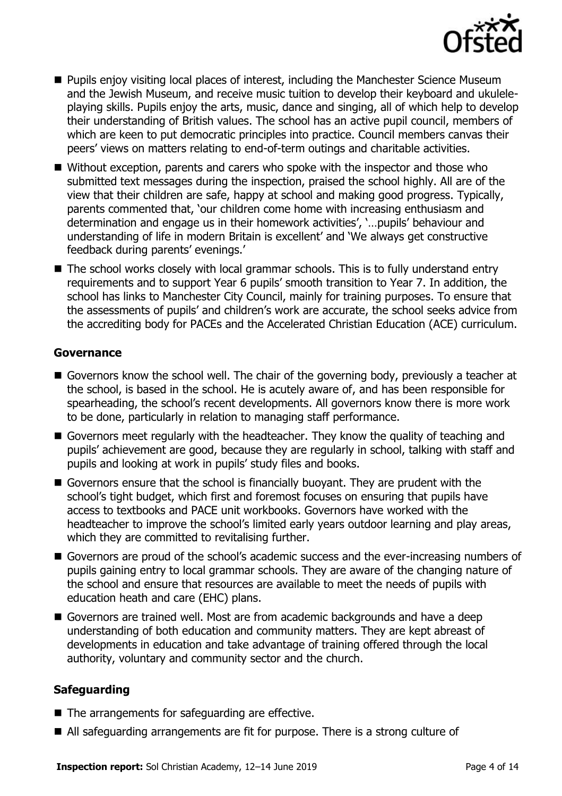

- **Pupils enjoy visiting local places of interest, including the Manchester Science Museum** and the Jewish Museum, and receive music tuition to develop their keyboard and ukuleleplaying skills. Pupils enjoy the arts, music, dance and singing, all of which help to develop their understanding of British values. The school has an active pupil council, members of which are keen to put democratic principles into practice. Council members canvas their peers' views on matters relating to end-of-term outings and charitable activities.
- Without exception, parents and carers who spoke with the inspector and those who submitted text messages during the inspection, praised the school highly. All are of the view that their children are safe, happy at school and making good progress. Typically, parents commented that, 'our children come home with increasing enthusiasm and determination and engage us in their homework activities', '…pupils' behaviour and understanding of life in modern Britain is excellent' and 'We always get constructive feedback during parents' evenings.'
- The school works closely with local grammar schools. This is to fully understand entry requirements and to support Year 6 pupils' smooth transition to Year 7. In addition, the school has links to Manchester City Council, mainly for training purposes. To ensure that the assessments of pupils' and children's work are accurate, the school seeks advice from the accrediting body for PACEs and the Accelerated Christian Education (ACE) curriculum.

#### **Governance**

- Governors know the school well. The chair of the governing body, previously a teacher at the school, is based in the school. He is acutely aware of, and has been responsible for spearheading, the school's recent developments. All governors know there is more work to be done, particularly in relation to managing staff performance.
- Governors meet regularly with the headteacher. They know the quality of teaching and pupils' achievement are good, because they are regularly in school, talking with staff and pupils and looking at work in pupils' study files and books.
- Governors ensure that the school is financially buoyant. They are prudent with the school's tight budget, which first and foremost focuses on ensuring that pupils have access to textbooks and PACE unit workbooks. Governors have worked with the headteacher to improve the school's limited early years outdoor learning and play areas, which they are committed to revitalising further.
- Governors are proud of the school's academic success and the ever-increasing numbers of pupils gaining entry to local grammar schools. They are aware of the changing nature of the school and ensure that resources are available to meet the needs of pupils with education heath and care (EHC) plans.
- Governors are trained well. Most are from academic backgrounds and have a deep understanding of both education and community matters. They are kept abreast of developments in education and take advantage of training offered through the local authority, voluntary and community sector and the church.

#### **Safeguarding**

- The arrangements for safeguarding are effective.
- All safeguarding arrangements are fit for purpose. There is a strong culture of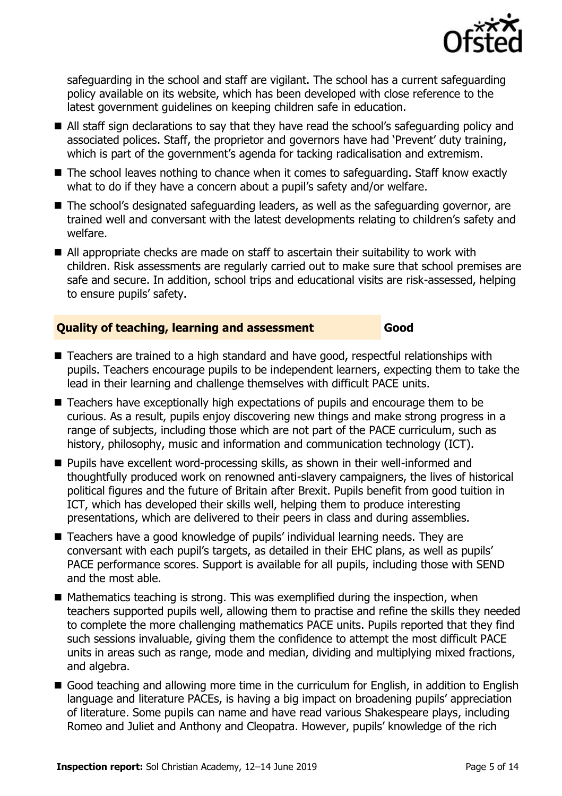

safeguarding in the school and staff are vigilant. The school has a current safeguarding policy available on its website, which has been developed with close reference to the latest government guidelines on keeping children safe in education.

- All staff sign declarations to say that they have read the school's safeguarding policy and associated polices. Staff, the proprietor and governors have had 'Prevent' duty training, which is part of the government's agenda for tacking radicalisation and extremism.
- The school leaves nothing to chance when it comes to safeguarding. Staff know exactly what to do if they have a concern about a pupil's safety and/or welfare.
- The school's designated safeguarding leaders, as well as the safeguarding governor, are trained well and conversant with the latest developments relating to children's safety and welfare.
- All appropriate checks are made on staff to ascertain their suitability to work with children. Risk assessments are regularly carried out to make sure that school premises are safe and secure. In addition, school trips and educational visits are risk-assessed, helping to ensure pupils' safety.

### **Quality of teaching, learning and assessment Good**

- Teachers are trained to a high standard and have good, respectful relationships with pupils. Teachers encourage pupils to be independent learners, expecting them to take the lead in their learning and challenge themselves with difficult PACE units.
- Teachers have exceptionally high expectations of pupils and encourage them to be curious. As a result, pupils enjoy discovering new things and make strong progress in a range of subjects, including those which are not part of the PACE curriculum, such as history, philosophy, music and information and communication technology (ICT).
- Pupils have excellent word-processing skills, as shown in their well-informed and thoughtfully produced work on renowned anti-slavery campaigners, the lives of historical political figures and the future of Britain after Brexit. Pupils benefit from good tuition in ICT, which has developed their skills well, helping them to produce interesting presentations, which are delivered to their peers in class and during assemblies.
- Teachers have a good knowledge of pupils' individual learning needs. They are conversant with each pupil's targets, as detailed in their EHC plans, as well as pupils' PACE performance scores. Support is available for all pupils, including those with SEND and the most able.
- $\blacksquare$  Mathematics teaching is strong. This was exemplified during the inspection, when teachers supported pupils well, allowing them to practise and refine the skills they needed to complete the more challenging mathematics PACE units. Pupils reported that they find such sessions invaluable, giving them the confidence to attempt the most difficult PACE units in areas such as range, mode and median, dividing and multiplying mixed fractions, and algebra.
- Good teaching and allowing more time in the curriculum for English, in addition to English language and literature PACEs, is having a big impact on broadening pupils' appreciation of literature. Some pupils can name and have read various Shakespeare plays, including Romeo and Juliet and Anthony and Cleopatra. However, pupils' knowledge of the rich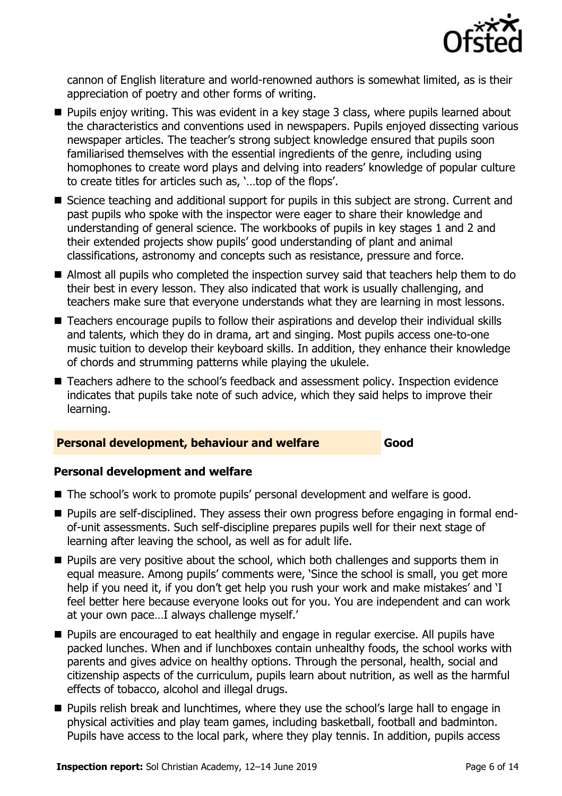

cannon of English literature and world-renowned authors is somewhat limited, as is their appreciation of poetry and other forms of writing.

- **Pupils enjoy writing. This was evident in a key stage 3 class, where pupils learned about** the characteristics and conventions used in newspapers. Pupils enjoyed dissecting various newspaper articles. The teacher's strong subject knowledge ensured that pupils soon familiarised themselves with the essential ingredients of the genre, including using homophones to create word plays and delving into readers' knowledge of popular culture to create titles for articles such as, '…top of the flops'.
- Science teaching and additional support for pupils in this subject are strong. Current and past pupils who spoke with the inspector were eager to share their knowledge and understanding of general science. The workbooks of pupils in key stages 1 and 2 and their extended projects show pupils' good understanding of plant and animal classifications, astronomy and concepts such as resistance, pressure and force.
- Almost all pupils who completed the inspection survey said that teachers help them to do their best in every lesson. They also indicated that work is usually challenging, and teachers make sure that everyone understands what they are learning in most lessons.
- Teachers encourage pupils to follow their aspirations and develop their individual skills and talents, which they do in drama, art and singing. Most pupils access one-to-one music tuition to develop their keyboard skills. In addition, they enhance their knowledge of chords and strumming patterns while playing the ukulele.
- Teachers adhere to the school's feedback and assessment policy. Inspection evidence indicates that pupils take note of such advice, which they said helps to improve their learning.

#### **Personal development, behaviour and welfare Good**

#### **Personal development and welfare**

- The school's work to promote pupils' personal development and welfare is good.
- Pupils are self-disciplined. They assess their own progress before engaging in formal endof-unit assessments. Such self-discipline prepares pupils well for their next stage of learning after leaving the school, as well as for adult life.
- **Pupils are very positive about the school, which both challenges and supports them in** equal measure. Among pupils' comments were, 'Since the school is small, you get more help if you need it, if you don't get help you rush your work and make mistakes' and 'I feel better here because everyone looks out for you. You are independent and can work at your own pace…I always challenge myself.'
- **Pupils are encouraged to eat healthily and engage in regular exercise. All pupils have** packed lunches. When and if lunchboxes contain unhealthy foods, the school works with parents and gives advice on healthy options. Through the personal, health, social and citizenship aspects of the curriculum, pupils learn about nutrition, as well as the harmful effects of tobacco, alcohol and illegal drugs.
- **Pupils relish break and lunchtimes, where they use the school's large hall to engage in** physical activities and play team games, including basketball, football and badminton. Pupils have access to the local park, where they play tennis. In addition, pupils access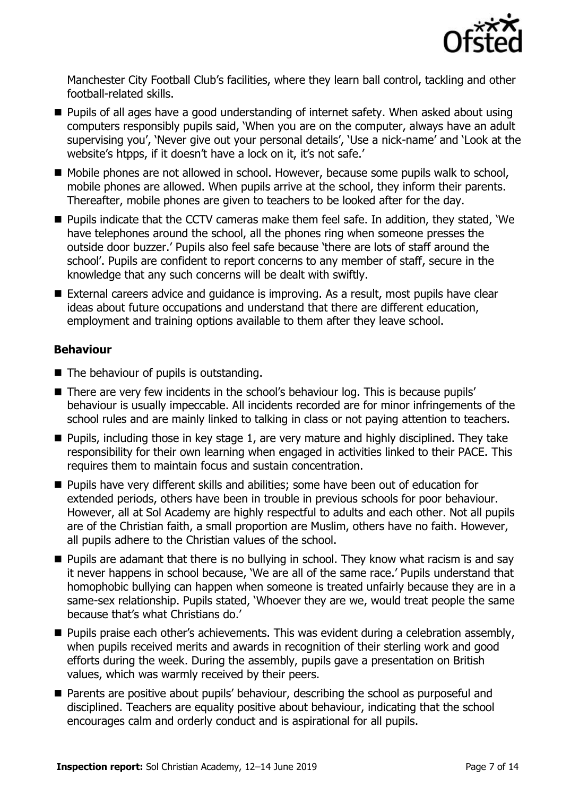

Manchester City Football Club's facilities, where they learn ball control, tackling and other football-related skills.

- **Pupils of all ages have a good understanding of internet safety. When asked about using** computers responsibly pupils said, 'When you are on the computer, always have an adult supervising you', 'Never give out your personal details', 'Use a nick-name' and 'Look at the website's htpps, if it doesn't have a lock on it, it's not safe.'
- Mobile phones are not allowed in school. However, because some pupils walk to school, mobile phones are allowed. When pupils arrive at the school, they inform their parents. Thereafter, mobile phones are given to teachers to be looked after for the day.
- Pupils indicate that the CCTV cameras make them feel safe. In addition, they stated, 'We have telephones around the school, all the phones ring when someone presses the outside door buzzer.' Pupils also feel safe because 'there are lots of staff around the school'. Pupils are confident to report concerns to any member of staff, secure in the knowledge that any such concerns will be dealt with swiftly.
- External careers advice and guidance is improving. As a result, most pupils have clear ideas about future occupations and understand that there are different education, employment and training options available to them after they leave school.

#### **Behaviour**

- The behaviour of pupils is outstanding.
- There are very few incidents in the school's behaviour log. This is because pupils' behaviour is usually impeccable. All incidents recorded are for minor infringements of the school rules and are mainly linked to talking in class or not paying attention to teachers.
- $\blacksquare$  Pupils, including those in key stage 1, are very mature and highly disciplined. They take responsibility for their own learning when engaged in activities linked to their PACE. This requires them to maintain focus and sustain concentration.
- **Pupils have very different skills and abilities; some have been out of education for** extended periods, others have been in trouble in previous schools for poor behaviour. However, all at Sol Academy are highly respectful to adults and each other. Not all pupils are of the Christian faith, a small proportion are Muslim, others have no faith. However, all pupils adhere to the Christian values of the school.
- **Pupils are adamant that there is no bullying in school. They know what racism is and say** it never happens in school because, 'We are all of the same race.' Pupils understand that homophobic bullying can happen when someone is treated unfairly because they are in a same-sex relationship. Pupils stated, 'Whoever they are we, would treat people the same because that's what Christians do.'
- **Pupils praise each other's achievements. This was evident during a celebration assembly,** when pupils received merits and awards in recognition of their sterling work and good efforts during the week. During the assembly, pupils gave a presentation on British values, which was warmly received by their peers.
- **Parents are positive about pupils' behaviour, describing the school as purposeful and** disciplined. Teachers are equality positive about behaviour, indicating that the school encourages calm and orderly conduct and is aspirational for all pupils.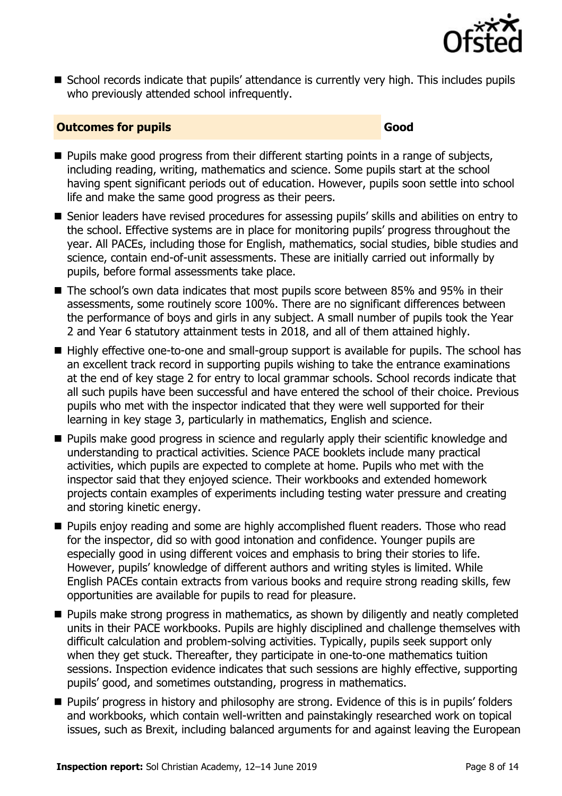

■ School records indicate that pupils' attendance is currently very high. This includes pupils who previously attended school infrequently.

#### **Outcomes for pupils Good**

- **Pupils make good progress from their different starting points in a range of subjects,** including reading, writing, mathematics and science. Some pupils start at the school having spent significant periods out of education. However, pupils soon settle into school life and make the same good progress as their peers.
- Senior leaders have revised procedures for assessing pupils' skills and abilities on entry to the school. Effective systems are in place for monitoring pupils' progress throughout the year. All PACEs, including those for English, mathematics, social studies, bible studies and science, contain end-of-unit assessments. These are initially carried out informally by pupils, before formal assessments take place.
- The school's own data indicates that most pupils score between 85% and 95% in their assessments, some routinely score 100%. There are no significant differences between the performance of boys and girls in any subject. A small number of pupils took the Year 2 and Year 6 statutory attainment tests in 2018, and all of them attained highly.
- Highly effective one-to-one and small-group support is available for pupils. The school has an excellent track record in supporting pupils wishing to take the entrance examinations at the end of key stage 2 for entry to local grammar schools. School records indicate that all such pupils have been successful and have entered the school of their choice. Previous pupils who met with the inspector indicated that they were well supported for their learning in key stage 3, particularly in mathematics, English and science.
- **Pupils make good progress in science and regularly apply their scientific knowledge and** understanding to practical activities. Science PACE booklets include many practical activities, which pupils are expected to complete at home. Pupils who met with the inspector said that they enjoyed science. Their workbooks and extended homework projects contain examples of experiments including testing water pressure and creating and storing kinetic energy.
- **Pupils enjoy reading and some are highly accomplished fluent readers. Those who read** for the inspector, did so with good intonation and confidence. Younger pupils are especially good in using different voices and emphasis to bring their stories to life. However, pupils' knowledge of different authors and writing styles is limited. While English PACEs contain extracts from various books and require strong reading skills, few opportunities are available for pupils to read for pleasure.
- **Pupils make strong progress in mathematics, as shown by diligently and neatly completed** units in their PACE workbooks. Pupils are highly disciplined and challenge themselves with difficult calculation and problem-solving activities. Typically, pupils seek support only when they get stuck. Thereafter, they participate in one-to-one mathematics tuition sessions. Inspection evidence indicates that such sessions are highly effective, supporting pupils' good, and sometimes outstanding, progress in mathematics.
- **Pupils' progress in history and philosophy are strong. Evidence of this is in pupils' folders** and workbooks, which contain well-written and painstakingly researched work on topical issues, such as Brexit, including balanced arguments for and against leaving the European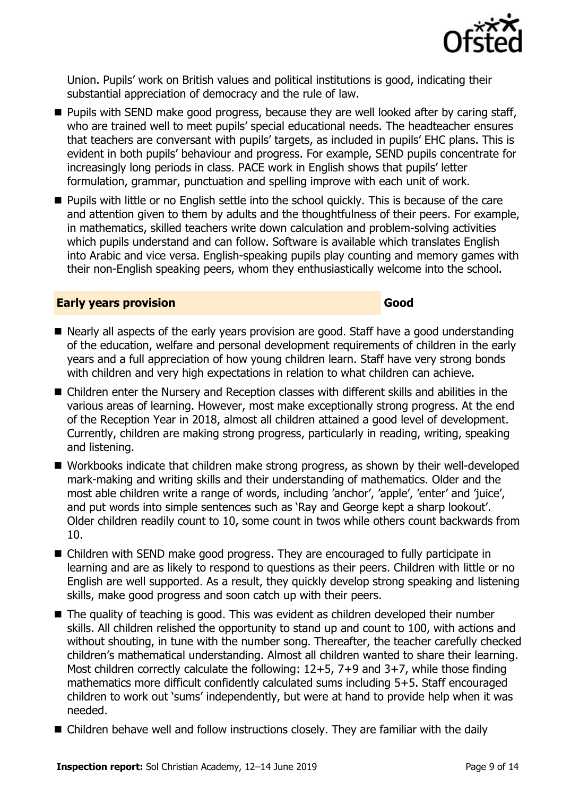

Union. Pupils' work on British values and political institutions is good, indicating their substantial appreciation of democracy and the rule of law.

- **Pupils with SEND make good progress, because they are well looked after by caring staff,** who are trained well to meet pupils' special educational needs. The headteacher ensures that teachers are conversant with pupils' targets, as included in pupils' EHC plans. This is evident in both pupils' behaviour and progress. For example, SEND pupils concentrate for increasingly long periods in class. PACE work in English shows that pupils' letter formulation, grammar, punctuation and spelling improve with each unit of work.
- **Pupils with little or no English settle into the school quickly. This is because of the care** and attention given to them by adults and the thoughtfulness of their peers. For example, in mathematics, skilled teachers write down calculation and problem-solving activities which pupils understand and can follow. Software is available which translates English into Arabic and vice versa. English-speaking pupils play counting and memory games with their non-English speaking peers, whom they enthusiastically welcome into the school.

#### **Early years provision Good Good**

- Nearly all aspects of the early years provision are good. Staff have a good understanding of the education, welfare and personal development requirements of children in the early years and a full appreciation of how young children learn. Staff have very strong bonds with children and very high expectations in relation to what children can achieve.
- Children enter the Nursery and Reception classes with different skills and abilities in the various areas of learning. However, most make exceptionally strong progress. At the end of the Reception Year in 2018, almost all children attained a good level of development. Currently, children are making strong progress, particularly in reading, writing, speaking and listening.
- Workbooks indicate that children make strong progress, as shown by their well-developed mark-making and writing skills and their understanding of mathematics. Older and the most able children write a range of words, including 'anchor', 'apple', 'enter' and 'juice', and put words into simple sentences such as 'Ray and George kept a sharp lookout'. Older children readily count to 10, some count in twos while others count backwards from 10.
- Children with SEND make good progress. They are encouraged to fully participate in learning and are as likely to respond to questions as their peers. Children with little or no English are well supported. As a result, they quickly develop strong speaking and listening skills, make good progress and soon catch up with their peers.
- The quality of teaching is good. This was evident as children developed their number skills. All children relished the opportunity to stand up and count to 100, with actions and without shouting, in tune with the number song. Thereafter, the teacher carefully checked children's mathematical understanding. Almost all children wanted to share their learning. Most children correctly calculate the following: 12+5, 7+9 and 3+7, while those finding mathematics more difficult confidently calculated sums including 5+5. Staff encouraged children to work out 'sums' independently, but were at hand to provide help when it was needed.
- Children behave well and follow instructions closely. They are familiar with the daily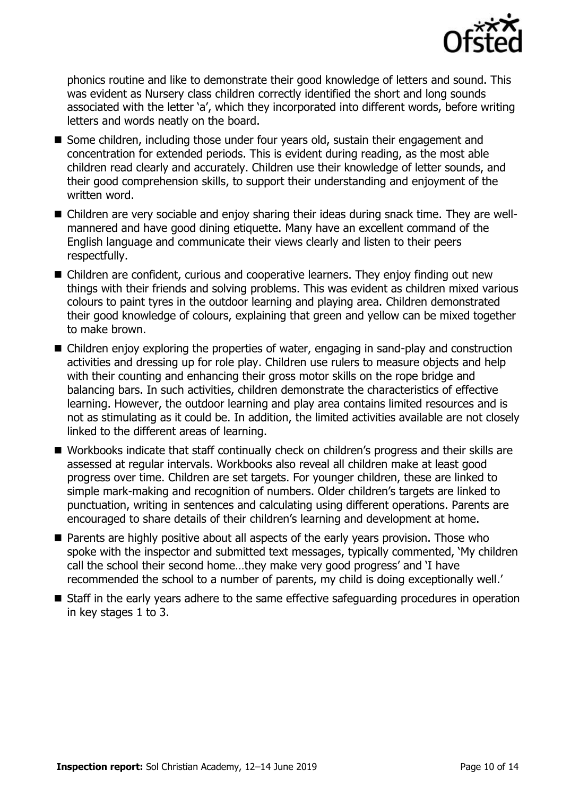

phonics routine and like to demonstrate their good knowledge of letters and sound. This was evident as Nursery class children correctly identified the short and long sounds associated with the letter 'a', which they incorporated into different words, before writing letters and words neatly on the board.

- Some children, including those under four years old, sustain their engagement and concentration for extended periods. This is evident during reading, as the most able children read clearly and accurately. Children use their knowledge of letter sounds, and their good comprehension skills, to support their understanding and enjoyment of the written word.
- Children are very sociable and enjoy sharing their ideas during snack time. They are wellmannered and have good dining etiquette. Many have an excellent command of the English language and communicate their views clearly and listen to their peers respectfully.
- Children are confident, curious and cooperative learners. They enjoy finding out new things with their friends and solving problems. This was evident as children mixed various colours to paint tyres in the outdoor learning and playing area. Children demonstrated their good knowledge of colours, explaining that green and yellow can be mixed together to make brown.
- Children enjoy exploring the properties of water, engaging in sand-play and construction activities and dressing up for role play. Children use rulers to measure objects and help with their counting and enhancing their gross motor skills on the rope bridge and balancing bars. In such activities, children demonstrate the characteristics of effective learning. However, the outdoor learning and play area contains limited resources and is not as stimulating as it could be. In addition, the limited activities available are not closely linked to the different areas of learning.
- Workbooks indicate that staff continually check on children's progress and their skills are assessed at regular intervals. Workbooks also reveal all children make at least good progress over time. Children are set targets. For younger children, these are linked to simple mark-making and recognition of numbers. Older children's targets are linked to punctuation, writing in sentences and calculating using different operations. Parents are encouraged to share details of their children's learning and development at home.
- **Parents are highly positive about all aspects of the early years provision. Those who** spoke with the inspector and submitted text messages, typically commented, 'My children call the school their second home…they make very good progress' and 'I have recommended the school to a number of parents, my child is doing exceptionally well.'
- Staff in the early years adhere to the same effective safeguarding procedures in operation in key stages 1 to 3.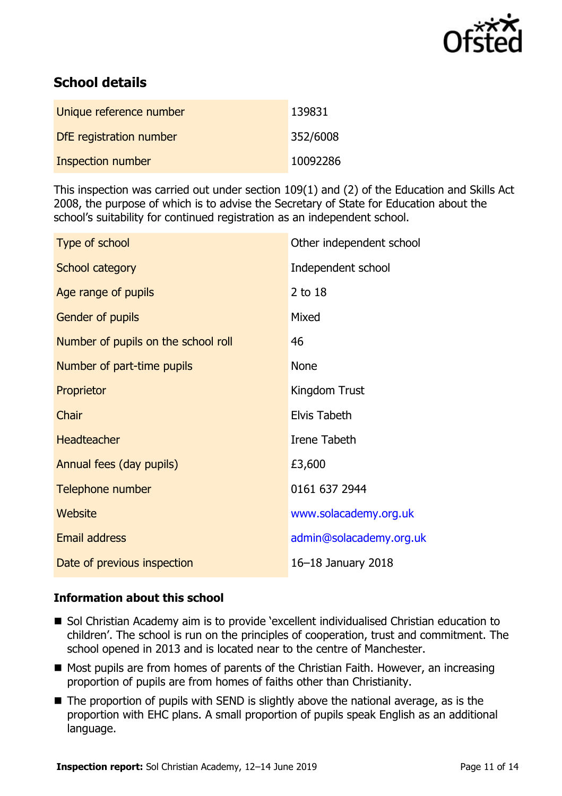

## **School details**

| Unique reference number | 139831   |
|-------------------------|----------|
| DfE registration number | 352/6008 |
| Inspection number       | 10092286 |

This inspection was carried out under section 109(1) and (2) of the Education and Skills Act 2008, the purpose of which is to advise the Secretary of State for Education about the school's suitability for continued registration as an independent school.

| Type of school                      | Other independent school |
|-------------------------------------|--------------------------|
| School category                     | Independent school       |
| Age range of pupils                 | 2 to 18                  |
| Gender of pupils                    | Mixed                    |
| Number of pupils on the school roll | 46                       |
| Number of part-time pupils          | <b>None</b>              |
| Proprietor                          | Kingdom Trust            |
| Chair                               | Elvis Tabeth             |
| <b>Headteacher</b>                  | Irene Tabeth             |
| Annual fees (day pupils)            | £3,600                   |
| Telephone number                    | 0161 637 2944            |
| Website                             | www.solacademy.org.uk    |
| <b>Email address</b>                | admin@solacademy.org.uk  |
| Date of previous inspection         | 16-18 January 2018       |

#### **Information about this school**

- Sol Christian Academy aim is to provide 'excellent individualised Christian education to children'. The school is run on the principles of cooperation, trust and commitment. The school opened in 2013 and is located near to the centre of Manchester.
- $\blacksquare$  Most pupils are from homes of parents of the Christian Faith. However, an increasing proportion of pupils are from homes of faiths other than Christianity.
- The proportion of pupils with SEND is slightly above the national average, as is the proportion with EHC plans. A small proportion of pupils speak English as an additional language.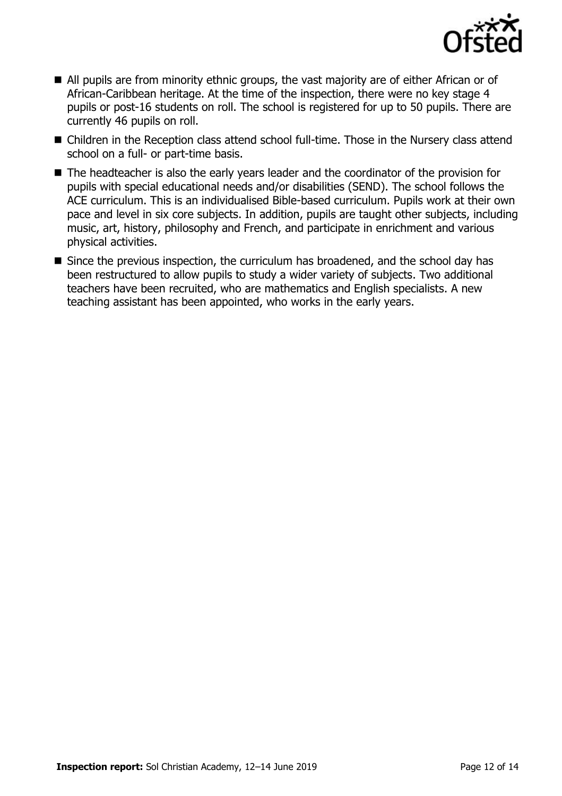

- All pupils are from minority ethnic groups, the vast majority are of either African or of African-Caribbean heritage. At the time of the inspection, there were no key stage 4 pupils or post-16 students on roll. The school is registered for up to 50 pupils. There are currently 46 pupils on roll.
- Children in the Reception class attend school full-time. Those in the Nursery class attend school on a full- or part-time basis.
- The headteacher is also the early years leader and the coordinator of the provision for pupils with special educational needs and/or disabilities (SEND). The school follows the ACE curriculum. This is an individualised Bible-based curriculum. Pupils work at their own pace and level in six core subjects. In addition, pupils are taught other subjects, including music, art, history, philosophy and French, and participate in enrichment and various physical activities.
- Since the previous inspection, the curriculum has broadened, and the school day has been restructured to allow pupils to study a wider variety of subjects. Two additional teachers have been recruited, who are mathematics and English specialists. A new teaching assistant has been appointed, who works in the early years.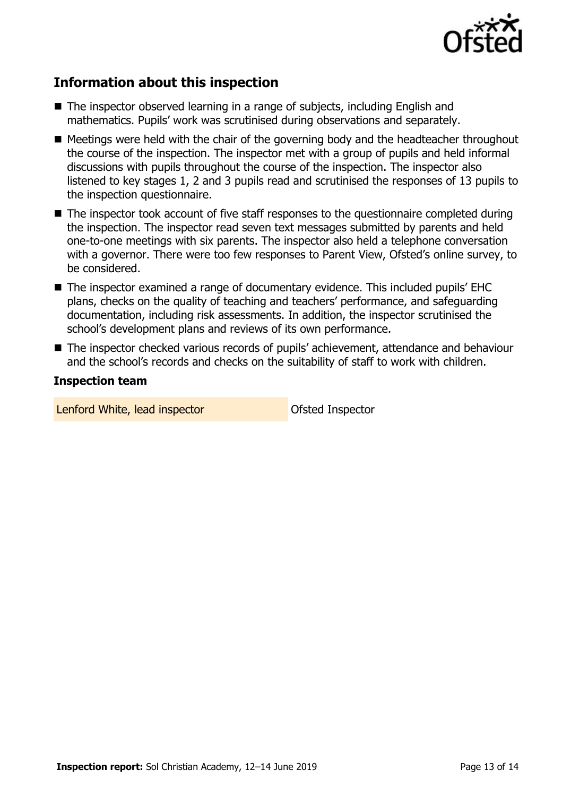

## **Information about this inspection**

- The inspector observed learning in a range of subjects, including English and mathematics. Pupils' work was scrutinised during observations and separately.
- Meetings were held with the chair of the governing body and the headteacher throughout the course of the inspection. The inspector met with a group of pupils and held informal discussions with pupils throughout the course of the inspection. The inspector also listened to key stages 1, 2 and 3 pupils read and scrutinised the responses of 13 pupils to the inspection questionnaire.
- The inspector took account of five staff responses to the questionnaire completed during the inspection. The inspector read seven text messages submitted by parents and held one-to-one meetings with six parents. The inspector also held a telephone conversation with a governor. There were too few responses to Parent View, Ofsted's online survey, to be considered.
- The inspector examined a range of documentary evidence. This included pupils' EHC plans, checks on the quality of teaching and teachers' performance, and safeguarding documentation, including risk assessments. In addition, the inspector scrutinised the school's development plans and reviews of its own performance.
- The inspector checked various records of pupils' achievement, attendance and behaviour and the school's records and checks on the suitability of staff to work with children.

#### **Inspection team**

Lenford White, lead inspector **Container Container Container Container** Ofsted Inspector